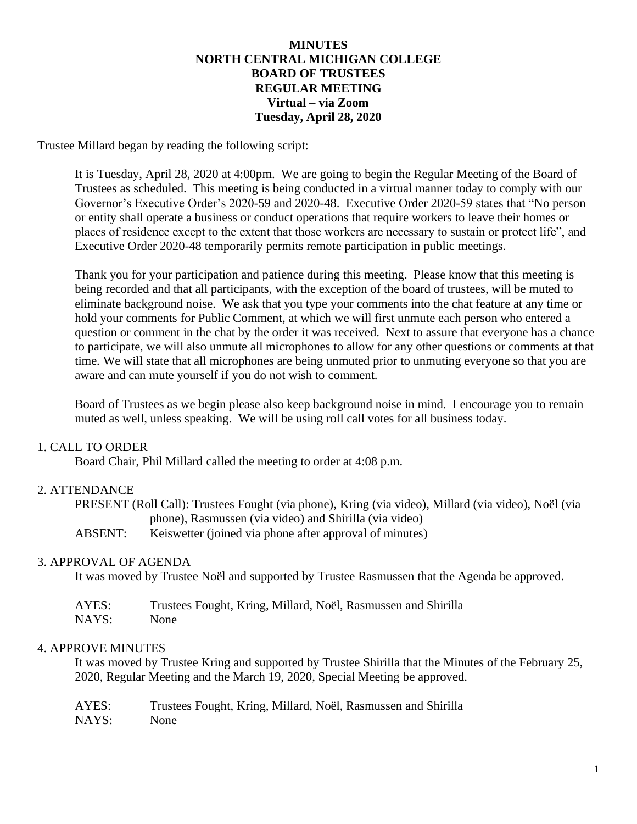### **MINUTES NORTH CENTRAL MICHIGAN COLLEGE BOARD OF TRUSTEES REGULAR MEETING Virtual – via Zoom Tuesday, April 28, 2020**

Trustee Millard began by reading the following script:

It is Tuesday, April 28, 2020 at 4:00pm. We are going to begin the Regular Meeting of the Board of Trustees as scheduled. This meeting is being conducted in a virtual manner today to comply with our Governor's Executive Order's 2020-59 and 2020-48. Executive Order 2020-59 states that "No person or entity shall operate a business or conduct operations that require workers to leave their homes or places of residence except to the extent that those workers are necessary to sustain or protect life", and Executive Order 2020-48 temporarily permits remote participation in public meetings.

Thank you for your participation and patience during this meeting. Please know that this meeting is being recorded and that all participants, with the exception of the board of trustees, will be muted to eliminate background noise. We ask that you type your comments into the chat feature at any time or hold your comments for Public Comment, at which we will first unmute each person who entered a question or comment in the chat by the order it was received. Next to assure that everyone has a chance to participate, we will also unmute all microphones to allow for any other questions or comments at that time. We will state that all microphones are being unmuted prior to unmuting everyone so that you are aware and can mute yourself if you do not wish to comment.

Board of Trustees as we begin please also keep background noise in mind. I encourage you to remain muted as well, unless speaking. We will be using roll call votes for all business today.

### 1. CALL TO ORDER

Board Chair, Phil Millard called the meeting to order at 4:08 p.m.

### 2. ATTENDANCE

| PRESENT (Roll Call): Trustees Fought (via phone), Kring (via video), Millard (via video), Noël (via |                                                         |  |
|-----------------------------------------------------------------------------------------------------|---------------------------------------------------------|--|
|                                                                                                     | phone), Rasmussen (via video) and Shirilla (via video)  |  |
| ABSENT:                                                                                             | Keiswetter (joined via phone after approval of minutes) |  |

#### 3. APPROVAL OF AGENDA

It was moved by Trustee Noël and supported by Trustee Rasmussen that the Agenda be approved.

| AYES: | Trustees Fought, Kring, Millard, Noël, Rasmussen and Shirilla |
|-------|---------------------------------------------------------------|
| NAYS: | None                                                          |

### 4. APPROVE MINUTES

It was moved by Trustee Kring and supported by Trustee Shirilla that the Minutes of the February 25, 2020, Regular Meeting and the March 19, 2020, Special Meeting be approved.

| AYES: | Trustees Fought, Kring, Millard, Noël, Rasmussen and Shirilla |
|-------|---------------------------------------------------------------|
| NAYS: | None                                                          |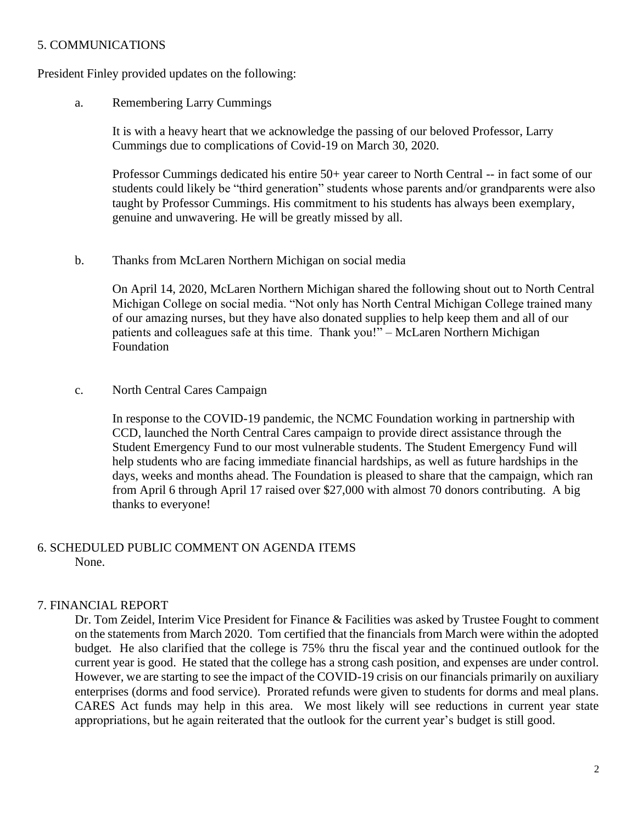### 5. COMMUNICATIONS

President Finley provided updates on the following:

a. Remembering Larry Cummings

It is with a heavy heart that we acknowledge the passing of our beloved Professor, Larry Cummings due to complications of Covid-19 on March 30, 2020.

Professor Cummings dedicated his entire 50+ year career to North Central -- in fact some of our students could likely be "third generation" students whose parents and/or grandparents were also taught by Professor Cummings. His commitment to his students has always been exemplary, genuine and unwavering. He will be greatly missed by all.

b. Thanks from McLaren Northern Michigan on social media

On April 14, 2020, McLaren Northern Michigan shared the following shout out to North Central Michigan College on social media. "Not only has North Central Michigan College trained many of our amazing nurses, but they have also donated supplies to help keep them and all of our patients and colleagues safe at this time. Thank you!" – McLaren Northern Michigan Foundation

#### c. North Central Cares Campaign

In response to the COVID-19 pandemic, the NCMC Foundation working in partnership with CCD, launched the North Central Cares campaign to provide direct assistance through the Student Emergency Fund to our most vulnerable students. The Student Emergency Fund will help students who are facing immediate financial hardships, as well as future hardships in the days, weeks and months ahead. The Foundation is pleased to share that the campaign, which ran from April 6 through April 17 raised over \$27,000 with almost 70 donors contributing. A big thanks to everyone!

### 6. SCHEDULED PUBLIC COMMENT ON AGENDA ITEMS None.

### 7. FINANCIAL REPORT

Dr. Tom Zeidel, Interim Vice President for Finance & Facilities was asked by Trustee Fought to comment on the statements from March 2020. Tom certified that the financials from March were within the adopted budget. He also clarified that the college is 75% thru the fiscal year and the continued outlook for the current year is good. He stated that the college has a strong cash position, and expenses are under control. However, we are starting to see the impact of the COVID-19 crisis on our financials primarily on auxiliary enterprises (dorms and food service). Prorated refunds were given to students for dorms and meal plans. CARES Act funds may help in this area. We most likely will see reductions in current year state appropriations, but he again reiterated that the outlook for the current year's budget is still good.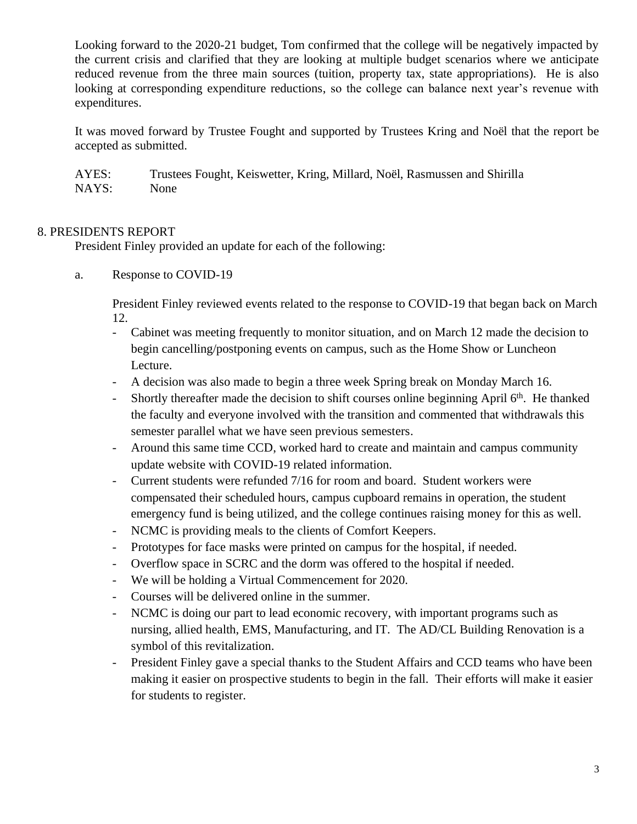Looking forward to the 2020-21 budget, Tom confirmed that the college will be negatively impacted by the current crisis and clarified that they are looking at multiple budget scenarios where we anticipate reduced revenue from the three main sources (tuition, property tax, state appropriations). He is also looking at corresponding expenditure reductions, so the college can balance next year's revenue with expenditures.

It was moved forward by Trustee Fought and supported by Trustees Kring and Noël that the report be accepted as submitted.

AYES: Trustees Fought, Keiswetter, Kring, Millard, Noël, Rasmussen and Shirilla NAYS: None

# 8. PRESIDENTS REPORT

President Finley provided an update for each of the following:

a. Response to COVID-19

President Finley reviewed events related to the response to COVID-19 that began back on March 12.

- Cabinet was meeting frequently to monitor situation, and on March 12 made the decision to begin cancelling/postponing events on campus, such as the Home Show or Luncheon Lecture.
- A decision was also made to begin a three week Spring break on Monday March 16.
- Shortly thereafter made the decision to shift courses online beginning April  $6<sup>th</sup>$ . He thanked the faculty and everyone involved with the transition and commented that withdrawals this semester parallel what we have seen previous semesters.
- Around this same time CCD, worked hard to create and maintain and campus community update website with COVID-19 related information.
- Current students were refunded 7/16 for room and board. Student workers were compensated their scheduled hours, campus cupboard remains in operation, the student emergency fund is being utilized, and the college continues raising money for this as well.
- NCMC is providing meals to the clients of Comfort Keepers.
- Prototypes for face masks were printed on campus for the hospital, if needed.
- Overflow space in SCRC and the dorm was offered to the hospital if needed.
- We will be holding a Virtual Commencement for 2020.
- Courses will be delivered online in the summer.
- NCMC is doing our part to lead economic recovery, with important programs such as nursing, allied health, EMS, Manufacturing, and IT. The AD/CL Building Renovation is a symbol of this revitalization.
- President Finley gave a special thanks to the Student Affairs and CCD teams who have been making it easier on prospective students to begin in the fall. Their efforts will make it easier for students to register.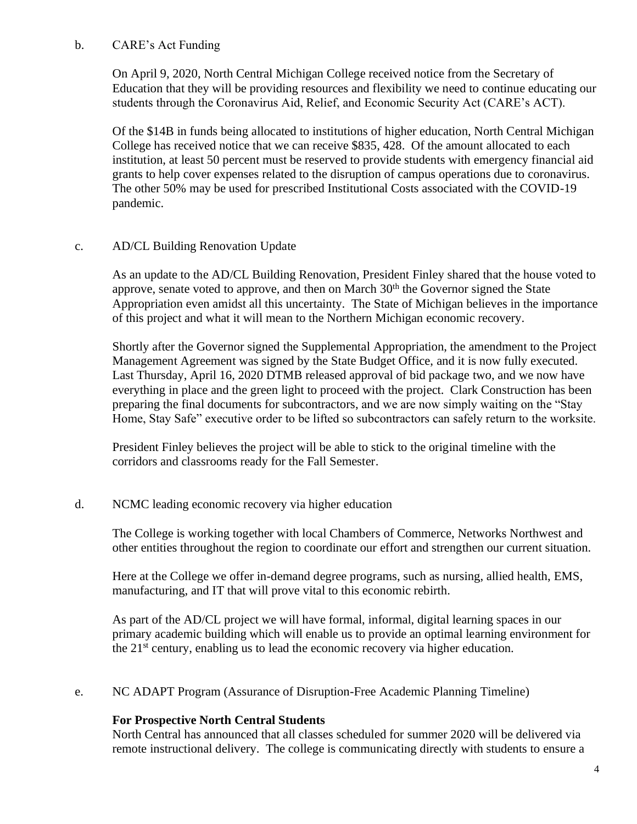# b. CARE's Act Funding

On April 9, 2020, North Central Michigan College received notice from the Secretary of Education that they will be providing resources and flexibility we need to continue educating our students through the Coronavirus Aid, Relief, and Economic Security Act (CARE's ACT).

Of the \$14B in funds being allocated to institutions of higher education, North Central Michigan College has received notice that we can receive \$835, 428. Of the amount allocated to each institution, at least 50 percent must be reserved to provide students with emergency financial aid grants to help cover expenses related to the disruption of campus operations due to coronavirus. The other 50% may be used for prescribed Institutional Costs associated with the COVID-19 pandemic.

# c. AD/CL Building Renovation Update

As an update to the AD/CL Building Renovation, President Finley shared that the house voted to approve, senate voted to approve, and then on March  $30<sup>th</sup>$  the Governor signed the State Appropriation even amidst all this uncertainty. The State of Michigan believes in the importance of this project and what it will mean to the Northern Michigan economic recovery.

Shortly after the Governor signed the Supplemental Appropriation, the amendment to the Project Management Agreement was signed by the State Budget Office, and it is now fully executed. Last Thursday, April 16, 2020 DTMB released approval of bid package two, and we now have everything in place and the green light to proceed with the project. Clark Construction has been preparing the final documents for subcontractors, and we are now simply waiting on the "Stay Home, Stay Safe" executive order to be lifted so subcontractors can safely return to the worksite.

President Finley believes the project will be able to stick to the original timeline with the corridors and classrooms ready for the Fall Semester.

# d. NCMC leading economic recovery via higher education

The College is working together with local Chambers of Commerce, Networks Northwest and other entities throughout the region to coordinate our effort and strengthen our current situation.

Here at the College we offer in-demand degree programs, such as nursing, allied health, EMS, manufacturing, and IT that will prove vital to this economic rebirth.

As part of the AD/CL project we will have formal, informal, digital learning spaces in our primary academic building which will enable us to provide an optimal learning environment for the  $21<sup>st</sup>$  century, enabling us to lead the economic recovery via higher education.

e. NC ADAPT Program (Assurance of Disruption-Free Academic Planning Timeline)

# **For Prospective North Central Students**

North Central has announced that all classes scheduled for summer 2020 will be delivered via remote instructional delivery. The college is communicating directly with students to ensure a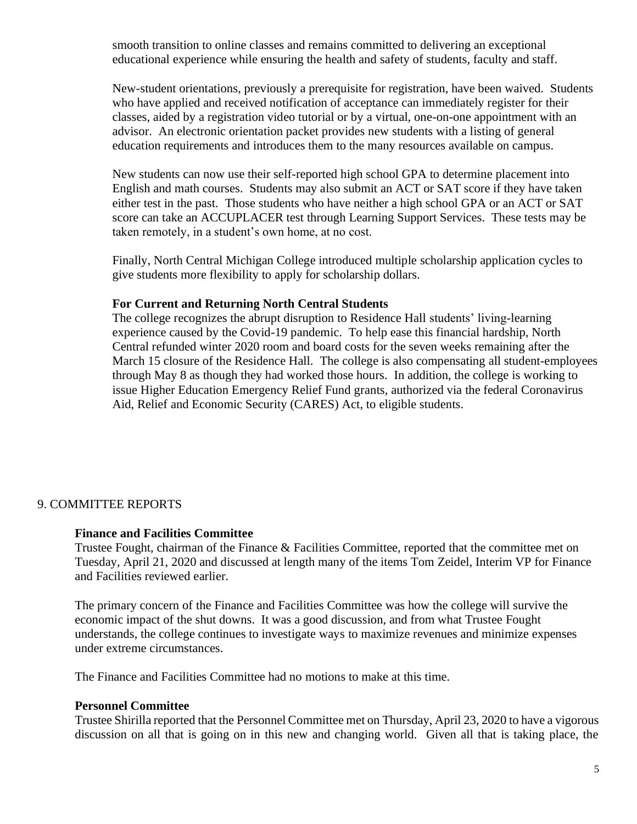smooth transition to online classes and remains committed to delivering an exceptional educational experience while ensuring the health and safety of students, faculty and staff.

New-student orientations, previously a prerequisite for registration, have been waived. Students who have applied and received notification of acceptance can immediately register for their classes, aided by a [registration video tutorial](https://www.youtube.com/watch?v=0-xVuNs2pxc&feature=youtu.be) or by a [virtual, one-on-one appointment](https://www.youtube.com/watch?v=eK2btBP75B8&feature=youtu.be) with an advisor. An [electronic orientation packet](https://online.flowpaper.com/779e073f/DigitalOrientationPacket/#page=1) provides new students with a listing of general education requirements and introduces them to the many resources available on campus.

New students can now use their self-reported high school GPA to determine placement into English and math courses. Students may also submit an ACT or SAT score if they have taken either test in the past. Those students who have neither a high school GPA or an ACT or SAT score can take an ACCUPLACER test through [Learning Support Services.](https://www.ncmich.edu/resources-support/academic-support/learning-support-services/) These tests may be taken remotely, in a student's own home, at no cost.

Finally, North Central Michigan College introduced multiple [scholarship application cycles](https://www.ncmich.edu/paying-for-college/scholarships/) to give students more flexibility to apply for scholarship dollars.

#### **For Current and Returning North Central Students**

The college recognizes the abrupt disruption to Residence Hall students' living-learning experience caused by the Covid-19 pandemic. To help ease this financial hardship, North Central refunded winter 2020 room and board costs for the seven weeks remaining after the March 15 closure of the Residence Hall. The college is also compensating all student-employees through May 8 as though they had worked those hours. In addition, the college is working to issue [Higher Education Emergency Relief Fund](https://www2.ed.gov/programs/heerf/index.html) grants, authorized via the federal [Coronavirus](https://www2.ed.gov/about/offices/list/ope/caresact.html)  [Aid, Relief and Economic Security \(CARES\) Act,](https://www2.ed.gov/about/offices/list/ope/caresact.html) to eligible students.

### 9. COMMITTEE REPORTS

### **Finance and Facilities Committee**

Trustee Fought, chairman of the Finance & Facilities Committee, reported that the committee met on Tuesday, April 21, 2020 and discussed at length many of the items Tom Zeidel, Interim VP for Finance and Facilities reviewed earlier.

The primary concern of the Finance and Facilities Committee was how the college will survive the economic impact of the shut downs. It was a good discussion, and from what Trustee Fought understands, the college continues to investigate ways to maximize revenues and minimize expenses under extreme circumstances.

The Finance and Facilities Committee had no motions to make at this time.

#### **Personnel Committee**

Trustee Shirilla reported that the Personnel Committee met on Thursday, April 23, 2020 to have a vigorous discussion on all that is going on in this new and changing world. Given all that is taking place, the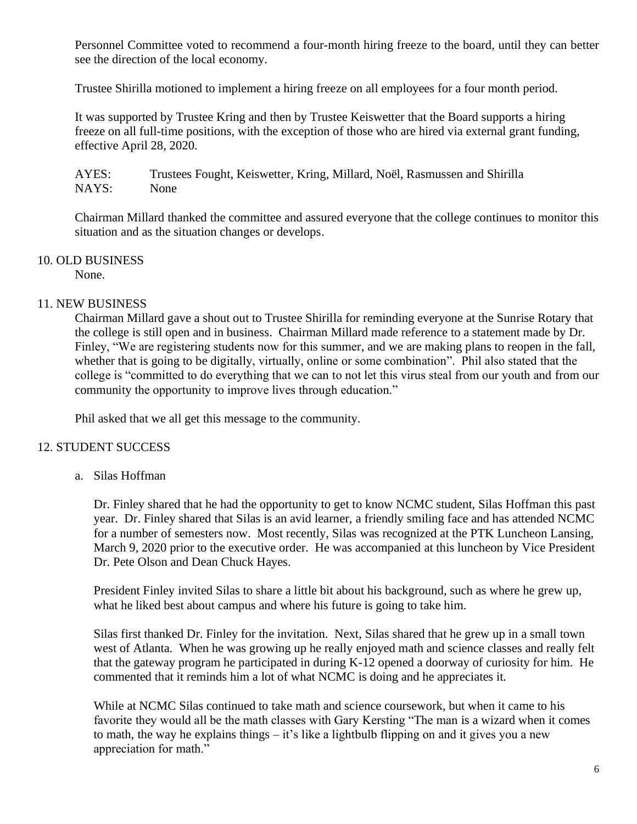Personnel Committee voted to recommend a four-month hiring freeze to the board, until they can better see the direction of the local economy.

Trustee Shirilla motioned to implement a hiring freeze on all employees for a four month period.

It was supported by Trustee Kring and then by Trustee Keiswetter that the Board supports a hiring freeze on all full-time positions, with the exception of those who are hired via external grant funding, effective April 28, 2020.

AYES: Trustees Fought, Keiswetter, Kring, Millard, Noël, Rasmussen and Shirilla NAYS: None

Chairman Millard thanked the committee and assured everyone that the college continues to monitor this situation and as the situation changes or develops.

# 10. OLD BUSINESS

None.

# 11. NEW BUSINESS

Chairman Millard gave a shout out to Trustee Shirilla for reminding everyone at the Sunrise Rotary that the college is still open and in business. Chairman Millard made reference to a statement made by Dr. Finley, "We are registering students now for this summer, and we are making plans to reopen in the fall, whether that is going to be digitally, virtually, online or some combination". Phil also stated that the college is "committed to do everything that we can to not let this virus steal from our youth and from our community the opportunity to improve lives through education."

Phil asked that we all get this message to the community.

# 12. STUDENT SUCCESS

a. Silas Hoffman

Dr. Finley shared that he had the opportunity to get to know NCMC student, Silas Hoffman this past year. Dr. Finley shared that Silas is an avid learner, a friendly smiling face and has attended NCMC for a number of semesters now. Most recently, Silas was recognized at the PTK Luncheon Lansing, March 9, 2020 prior to the executive order. He was accompanied at this luncheon by Vice President Dr. Pete Olson and Dean Chuck Hayes.

President Finley invited Silas to share a little bit about his background, such as where he grew up, what he liked best about campus and where his future is going to take him.

Silas first thanked Dr. Finley for the invitation. Next, Silas shared that he grew up in a small town west of Atlanta. When he was growing up he really enjoyed math and science classes and really felt that the gateway program he participated in during K-12 opened a doorway of curiosity for him. He commented that it reminds him a lot of what NCMC is doing and he appreciates it.

While at NCMC Silas continued to take math and science coursework, but when it came to his favorite they would all be the math classes with Gary Kersting "The man is a wizard when it comes to math, the way he explains things – it's like a lightbulb flipping on and it gives you a new appreciation for math."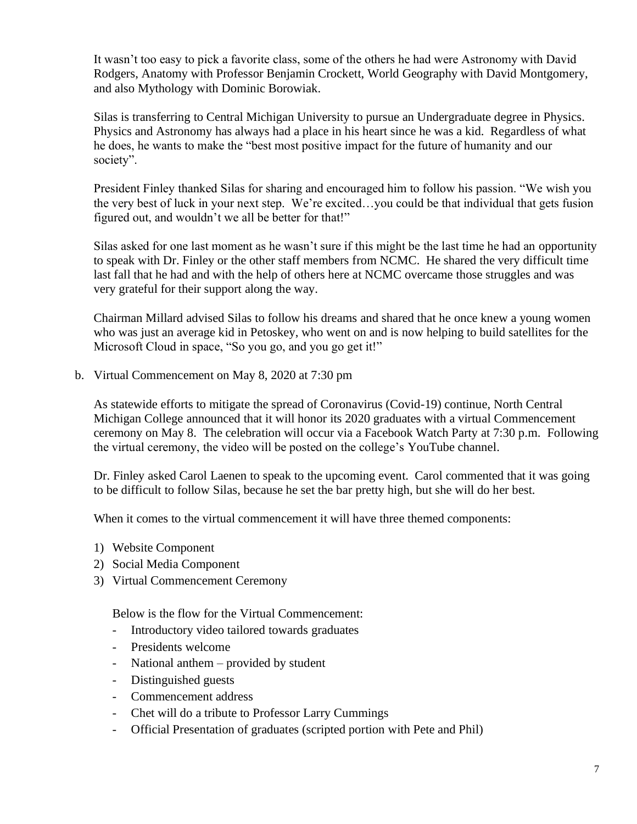It wasn't too easy to pick a favorite class, some of the others he had were Astronomy with David Rodgers, Anatomy with Professor Benjamin Crockett, World Geography with David Montgomery, and also Mythology with Dominic Borowiak.

Silas is transferring to Central Michigan University to pursue an Undergraduate degree in Physics. Physics and Astronomy has always had a place in his heart since he was a kid. Regardless of what he does, he wants to make the "best most positive impact for the future of humanity and our society".

President Finley thanked Silas for sharing and encouraged him to follow his passion. "We wish you the very best of luck in your next step. We're excited…you could be that individual that gets fusion figured out, and wouldn't we all be better for that!"

Silas asked for one last moment as he wasn't sure if this might be the last time he had an opportunity to speak with Dr. Finley or the other staff members from NCMC. He shared the very difficult time last fall that he had and with the help of others here at NCMC overcame those struggles and was very grateful for their support along the way.

Chairman Millard advised Silas to follow his dreams and shared that he once knew a young women who was just an average kid in Petoskey, who went on and is now helping to build satellites for the Microsoft Cloud in space, "So you go, and you go get it!"

b. Virtual Commencement on May 8, 2020 at 7:30 pm

As statewide efforts to mitigate the spread of Coronavirus (Covid-19) continue, [North Central](http://www.ncmich.edu/)  [Michigan College](http://www.ncmich.edu/) announced that it will honor its 2020 graduates with a virtual Commencement ceremony on May 8. The celebration will occur via a Facebook Watch Party at 7:30 p.m. Following the virtual ceremony, the video will be posted on the college's [YouTube channel.](https://www.youtube.com/channel/UC1xZZuODAY5GlWWYW-weK6Q)

Dr. Finley asked Carol Laenen to speak to the upcoming event. Carol commented that it was going to be difficult to follow Silas, because he set the bar pretty high, but she will do her best.

When it comes to the virtual commencement it will have three themed components:

- 1) Website Component
- 2) Social Media Component
- 3) Virtual Commencement Ceremony

Below is the flow for the Virtual Commencement:

- Introductory video tailored towards graduates
- Presidents welcome
- National anthem provided by student
- Distinguished guests
- Commencement address
- Chet will do a tribute to Professor Larry Cummings
- Official Presentation of graduates (scripted portion with Pete and Phil)